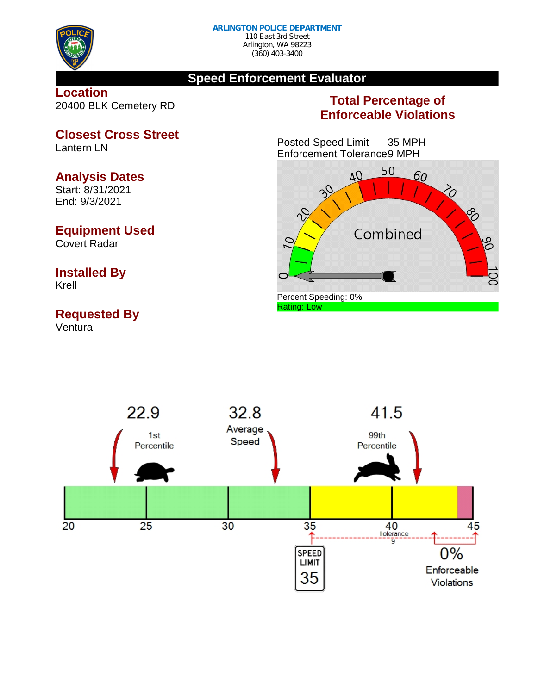

### **Speed Enforcement Evaluator**

#### **Location** 20400 BLK Cemetery RD

## **Total Percentage of Enforceable Violations**

Posted Speed Limit 35 MPH Enforcement Tolerance9 MPH





**Closest Cross Street** Lantern LN

#### **Analysis Dates**

Start: 8/31/2021 End: 9/3/2021

### **Equipment Used**

Covert Radar

# **Installed By**

Krell

# **Requested By**

Ventura